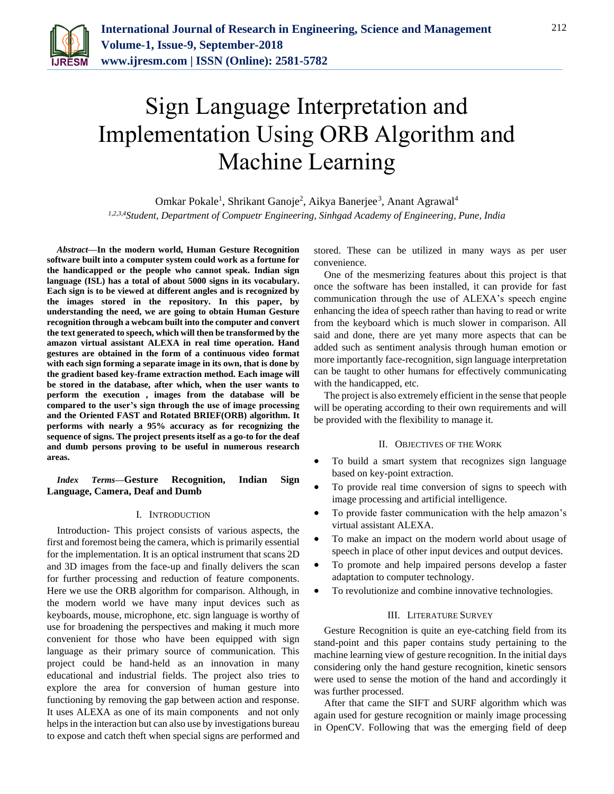

# Sign Language Interpretation and Implementation Using ORB Algorithm and Machine Learning

Omkar Pokale<sup>1</sup>, Shrikant Ganoje<sup>2</sup>, Aikya Banerjee<sup>3</sup>, Anant Agrawal<sup>4</sup> *1,2,3,4Student, Department of Compuetr Engineering, Sinhgad Academy of Engineering, Pune, India*

*Abstract***—In the modern world, Human Gesture Recognition software built into a computer system could work as a fortune for the handicapped or the people who cannot speak. Indian sign language (ISL) has a total of about 5000 signs in its vocabulary. Each sign is to be viewed at different angles and is recognized by the images stored in the repository. In this paper, by understanding the need, we are going to obtain Human Gesture recognition through a webcam built into the computer and convert the text generated to speech, which will then be transformed by the amazon virtual assistant ALEXA in real time operation. Hand gestures are obtained in the form of a continuous video format with each sign forming a separate image in its own, that is done by the gradient based key-frame extraction method. Each image will be stored in the database, after which, when the user wants to perform the execution , images from the database will be compared to the user's sign through the use of image processing and the Oriented FAST and Rotated BRIEF(ORB) algorithm. It performs with nearly a 95% accuracy as for recognizing the sequence of signs. The project presents itself as a go-to for the deaf and dumb persons proving to be useful in numerous research areas.**

*Index Terms***—Gesture Recognition, Indian Sign Language, Camera, Deaf and Dumb**

#### I. INTRODUCTION

Introduction- This project consists of various aspects, the first and foremost being the camera, which is primarily essential for the implementation. It is an optical instrument that scans 2D and 3D images from the face-up and finally delivers the scan for further processing and reduction of feature components. Here we use the ORB algorithm for comparison. Although, in the modern world we have many input devices such as keyboards, mouse, microphone, etc. sign language is worthy of use for broadening the perspectives and making it much more convenient for those who have been equipped with sign language as their primary source of communication. This project could be hand-held as an innovation in many educational and industrial fields. The project also tries to explore the area for conversion of human gesture into functioning by removing the gap between action and response. It uses ALEXA as one of its main components and not only helps in the interaction but can also use by investigations bureau to expose and catch theft when special signs are performed and stored. These can be utilized in many ways as per user convenience.

One of the mesmerizing features about this project is that once the software has been installed, it can provide for fast communication through the use of ALEXA's speech engine enhancing the idea of speech rather than having to read or write from the keyboard which is much slower in comparison. All said and done, there are yet many more aspects that can be added such as sentiment analysis through human emotion or more importantly face-recognition, sign language interpretation can be taught to other humans for effectively communicating with the handicapped, etc.

The project is also extremely efficient in the sense that people will be operating according to their own requirements and will be provided with the flexibility to manage it.

#### II. OBJECTIVES OF THE WORK

- To build a smart system that recognizes sign language based on key-point extraction.
- To provide real time conversion of signs to speech with image processing and artificial intelligence.
- To provide faster communication with the help amazon's virtual assistant ALEXA.
- To make an impact on the modern world about usage of speech in place of other input devices and output devices.
- To promote and help impaired persons develop a faster adaptation to computer technology.
- To revolutionize and combine innovative technologies.

## III. LITERATURE SURVEY

Gesture Recognition is quite an eye-catching field from its stand-point and this paper contains study pertaining to the machine learning view of gesture recognition. In the initial days considering only the hand gesture recognition, kinetic sensors were used to sense the motion of the hand and accordingly it was further processed.

After that came the SIFT and SURF algorithm which was again used for gesture recognition or mainly image processing in OpenCV. Following that was the emerging field of deep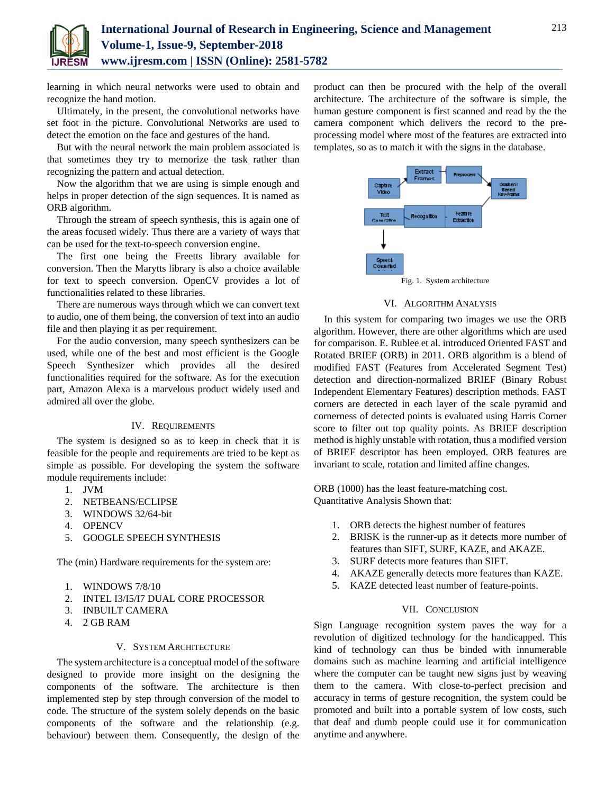

learning in which neural networks were used to obtain and recognize the hand motion.

Ultimately, in the present, the convolutional networks have set foot in the picture. Convolutional Networks are used to detect the emotion on the face and gestures of the hand.

But with the neural network the main problem associated is that sometimes they try to memorize the task rather than recognizing the pattern and actual detection.

Now the algorithm that we are using is simple enough and helps in proper detection of the sign sequences. It is named as ORB algorithm.

Through the stream of speech synthesis, this is again one of the areas focused widely. Thus there are a variety of ways that can be used for the text-to-speech conversion engine.

The first one being the Freetts library available for conversion. Then the Marytts library is also a choice available for text to speech conversion. OpenCV provides a lot of functionalities related to these libraries.

There are numerous ways through which we can convert text to audio, one of them being, the conversion of text into an audio file and then playing it as per requirement.

For the audio conversion, many speech synthesizers can be used, while one of the best and most efficient is the Google Speech Synthesizer which provides all the desired functionalities required for the software. As for the execution part, Amazon Alexa is a marvelous product widely used and admired all over the globe.

## IV. REQUIREMENTS

The system is designed so as to keep in check that it is feasible for the people and requirements are tried to be kept as simple as possible. For developing the system the software module requirements include:

- 1. JVM
- 2. NETBEANS/ECLIPSE
- 3. WINDOWS 32/64-bit
- 4. OPENCV
- 5. GOOGLE SPEECH SYNTHESIS

The (min) Hardware requirements for the system are:

- 1. WINDOWS 7/8/10
- 2. INTEL I3/I5/I7 DUAL CORE PROCESSOR
- 3. INBUILT CAMERA
- 4. 2 GB RAM

## V. SYSTEM ARCHITECTURE

The system architecture is a conceptual model of the software designed to provide more insight on the designing the components of the software. The architecture is then implemented step by step through conversion of the model to code. The structure of the system solely depends on the basic components of the software and the relationship (e.g. behaviour) between them. Consequently, the design of the

product can then be procured with the help of the overall architecture. The architecture of the software is simple, the human gesture component is first scanned and read by the the camera component which delivers the record to the preprocessing model where most of the features are extracted into templates, so as to match it with the signs in the database.



### VI. ALGORITHM ANALYSIS

In this system for comparing two images we use the ORB algorithm. However, there are other algorithms which are used for comparison. E. Rublee et al. introduced Oriented FAST and Rotated BRIEF (ORB) in 2011. ORB algorithm is a blend of modified FAST (Features from Accelerated Segment Test) detection and direction-normalized BRIEF (Binary Robust Independent Elementary Features) description methods. FAST corners are detected in each layer of the scale pyramid and cornerness of detected points is evaluated using Harris Corner score to filter out top quality points. As BRIEF description method is highly unstable with rotation, thus a modified version of BRIEF descriptor has been employed. ORB features are invariant to scale, rotation and limited affine changes.

ORB (1000) has the least feature-matching cost. Quantitative Analysis Shown that:

- 1. ORB detects the highest number of features
- 2. BRISK is the runner-up as it detects more number of features than SIFT, SURF, KAZE, and AKAZE.
- 3. SURF detects more features than SIFT.
- 4. AKAZE generally detects more features than KAZE.
- 5. KAZE detected least number of feature-points.

## VII. CONCLUSION

Sign Language recognition system paves the way for a revolution of digitized technology for the handicapped. This kind of technology can thus be binded with innumerable domains such as machine learning and artificial intelligence where the computer can be taught new signs just by weaving them to the camera. With close-to-perfect precision and accuracy in terms of gesture recognition, the system could be promoted and built into a portable system of low costs, such that deaf and dumb people could use it for communication anytime and anywhere.